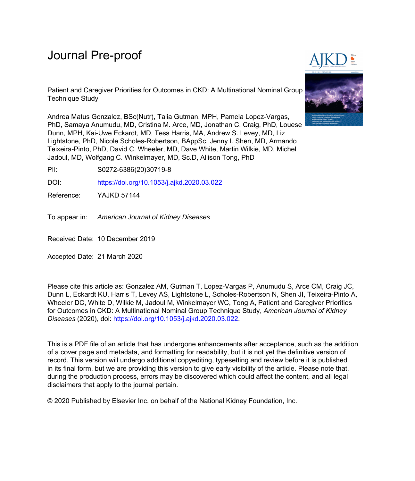# Journal Pre-proof

Patient and Caregiver Priorities for Outcomes in CKD: A Multinational Nominal Group Technique Study

Andrea Matus Gonzalez, BSc(Nutr), Talia Gutman, MPH, Pamela Lopez-Vargas, PhD, Samaya Anumudu, MD, Cristina M. Arce, MD, Jonathan C. Craig, PhD, Louese Dunn, MPH, Kai-Uwe Eckardt, MD, Tess Harris, MA, Andrew S. Levey, MD, Liz Lightstone, PhD, Nicole Scholes-Robertson, BAppSc, Jenny I. Shen, MD, Armando Teixeira-Pinto, PhD, David C. Wheeler, MD, Dave White, Martin Wilkie, MD, Michel Jadoul, MD, Wolfgang C. Winkelmayer, MD, Sc.D, Allison Tong, PhD

PII: S0272-6386(20)30719-8

DOI: <https://doi.org/10.1053/j.ajkd.2020.03.022>

Reference: YAJKD 57144

To appear in: American Journal of Kidney Diseases

Received Date: 10 December 2019

Accepted Date: 21 March 2020

Please cite this article as: Gonzalez AM, Gutman T, Lopez-Vargas P, Anumudu S, Arce CM, Craig JC, Dunn L, Eckardt KU, Harris T, Levey AS, Lightstone L, Scholes-Robertson N, Shen JI, Teixeira-Pinto A, Wheeler DC, White D, Wilkie M, Jadoul M, Winkelmayer WC, Tong A, Patient and Caregiver Priorities for Outcomes in CKD: A Multinational Nominal Group Technique Study, *American Journal of Kidney Diseases* (2020), doi:<https://doi.org/10.1053/j.ajkd.2020.03.022>.

This is a PDF file of an article that has undergone enhancements after acceptance, such as the addition of a cover page and metadata, and formatting for readability, but it is not yet the definitive version of record. This version will undergo additional copyediting, typesetting and review before it is published in its final form, but we are providing this version to give early visibility of the article. Please note that, during the production process, errors may be discovered which could affect the content, and all legal disclaimers that apply to the journal pertain.

© 2020 Published by Elsevier Inc. on behalf of the National Kidney Foundation, Inc.

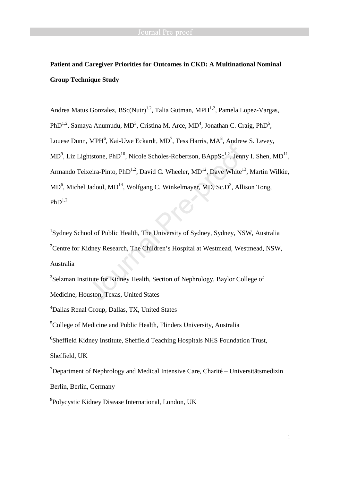## **Patient and Caregiver Priorities for Outcomes in CKD: A Multinational Nominal Group Technique Study**

Andrea Matus Gonzalez,  $BSc(Nurt)^{1,2}$ , Talia Gutman, MPH $^{1,2}$ , Pamela Lopez-Vargas, PhD<sup>1,2</sup>, Samaya Anumudu, MD<sup>3</sup>, Cristina M. Arce, MD<sup>4</sup>, Jonathan C. Craig, PhD<sup>5</sup>, Louese Dunn, MPH<sup>6</sup>, Kai-Uwe Eckardt, MD<sup>7</sup>, Tess Harris, MA<sup>8</sup>, Andrew S. Levey,  $MD^9$ , Liz Lightstone, PhD<sup>10</sup>, Nicole Scholes-Robertson, BAppSc<sup>1,2</sup>, Jenny I. Shen, MD<sup>11</sup>, Armando Teixeira-Pinto, PhD<sup>1,2</sup>, David C. Wheeler,  $MD<sup>12</sup>$ , Dave White<sup>13</sup>, Martin Wilkie,  $MD<sup>6</sup>$ , Michel Jadoul,  $MD<sup>14</sup>$ , Wolfgang C. Winkelmayer, MD, Sc.D<sup>3</sup>, Allison Tong,  $PhD^{1,2}$ 

<sup>1</sup>Sydney School of Public Health, The University of Sydney, Sydney, NSW, Australia <sup>2</sup>Centre for Kidney Research, The Children's Hospital at Westmead, Westmead, NSW, Australia

<sup>3</sup>Selzman Institute for Kidney Health, Section of Nephrology, Baylor College of Medicine, Houston, Texas, United States

<sup>4</sup>Dallas Renal Group, Dallas, TX, United States

<sup>5</sup>College of Medicine and Public Health, Flinders University, Australia

<sup>6</sup>Sheffield Kidney Institute, Sheffield Teaching Hospitals NHS Foundation Trust,

Sheffield, UK

<sup>7</sup>Department of Nephrology and Medical Intensive Care, Charité – Universitätsmedizin Berlin, Berlin, Germany

8 Polycystic Kidney Disease International, London, UK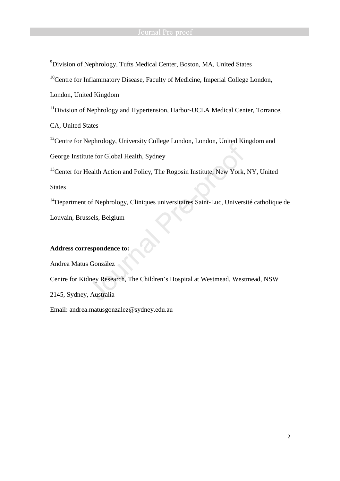<sup>9</sup>Division of Nephrology, Tufts Medical Center, Boston, MA, United States

<sup>10</sup>Centre for Inflammatory Disease, Faculty of Medicine, Imperial College London,

London, United Kingdom

<sup>11</sup>Division of Nephrology and Hypertension, Harbor-UCLA Medical Center, Torrance,

CA, United States

 $12$ Centre for Nephrology, University College London, London, United Kingdom and

George Institute for Global Health, Sydney

<sup>13</sup>Center for Health Action and Policy, The Rogosin Institute, New York, NY, United States

<sup>14</sup>Department of Nephrology, Cliniques universitaires Saint-Luc, Université catholique de Louvain, Brussels, Belgium

## **Address correspondence to:**

Andrea Matus González

Centre for Kidney Research, The Children's Hospital at Westmead, Westmead, NSW

2145, Sydney, Australia

Email: andrea.matusgonzalez@sydney.edu.au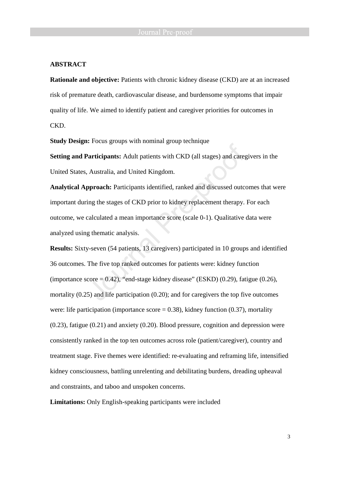### **ABSTRACT**

**Rationale and objective:** Patients with chronic kidney disease (CKD) are at an increased risk of premature death, cardiovascular disease, and burdensome symptoms that impair quality of life. We aimed to identify patient and caregiver priorities for outcomes in CKD.

**Study Design:** Focus groups with nominal group technique

**Setting and Participants:** Adult patients with CKD (all stages) and caregivers in the United States, Australia, and United Kingdom.

**Analytical Approach:** Participants identified, ranked and discussed outcomes that were important during the stages of CKD prior to kidney replacement therapy. For each outcome, we calculated a mean importance score (scale 0-1). Qualitative data were analyzed using thematic analysis.

**Results:** Sixty-seven (54 patients, 13 caregivers) participated in 10 groups and identified 36 outcomes. The five top ranked outcomes for patients were: kidney function (importance score  $= 0.42$ ), "end-stage kidney disease" (ESKD) (0.29), fatigue (0.26), mortality (0.25) and life participation (0.20); and for caregivers the top five outcomes were: life participation (importance score  $= 0.38$ ), kidney function (0.37), mortality (0.23), fatigue (0.21) and anxiety (0.20). Blood pressure, cognition and depression were consistently ranked in the top ten outcomes across role (patient/caregiver), country and treatment stage. Five themes were identified: re-evaluating and reframing life, intensified kidney consciousness, battling unrelenting and debilitating burdens, dreading upheaval and constraints, and taboo and unspoken concerns.

**Limitations:** Only English-speaking participants were included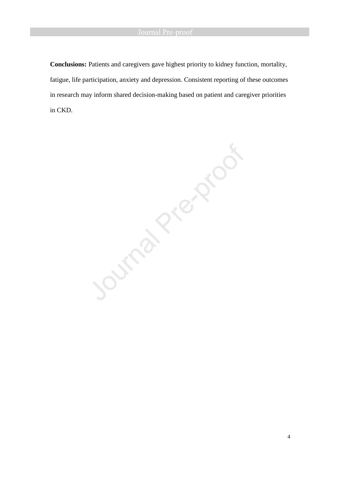**Conclusions:** Patients and caregivers gave highest priority to kidney function, mortality, fatigue, life participation, anxiety and depression. Consistent reporting of these outcomes in research may inform shared decision-making based on patient and caregiver priorities in CKD.

Journal Prezence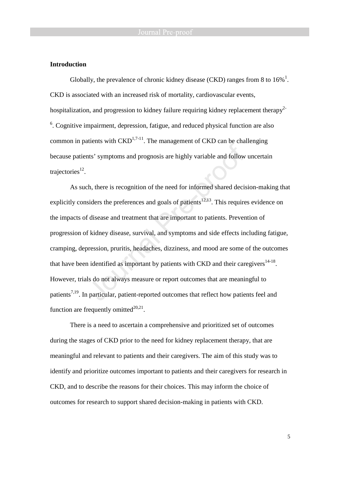#### **Introduction**

Globally, the prevalence of chronic kidney disease (CKD) ranges from 8 to  $16\%$ <sup>1</sup>. CKD is associated with an increased risk of mortality, cardiovascular events, hospitalization, and progression to kidney failure requiring kidney replacement therapy<sup>2-</sup> <sup>6</sup>. Cognitive impairment, depression, fatigue, and reduced physical function are also common in patients with  $\text{CKD}^{1,7-11}$ . The management of CKD can be challenging because patients' symptoms and prognosis are highly variable and follow uncertain trajectories $^{12}$ .

As such, there is recognition of the need for informed shared decision-making that explicitly considers the preferences and goals of patients<sup>12,13</sup>. This requires evidence on the impacts of disease and treatment that are important to patients. Prevention of progression of kidney disease, survival, and symptoms and side effects including fatigue, cramping, depression, pruritis, headaches, dizziness, and mood are some of the outcomes that have been identified as important by patients with CKD and their caregivers  $14-18$ . However, trials do not always measure or report outcomes that are meaningful to patients<sup>7,19</sup>. In particular, patient-reported outcomes that reflect how patients feel and function are frequently omitted $^{20,21}$ .

There is a need to ascertain a comprehensive and prioritized set of outcomes during the stages of CKD prior to the need for kidney replacement therapy, that are meaningful and relevant to patients and their caregivers. The aim of this study was to identify and prioritize outcomes important to patients and their caregivers for research in CKD, and to describe the reasons for their choices. This may inform the choice of outcomes for research to support shared decision-making in patients with CKD.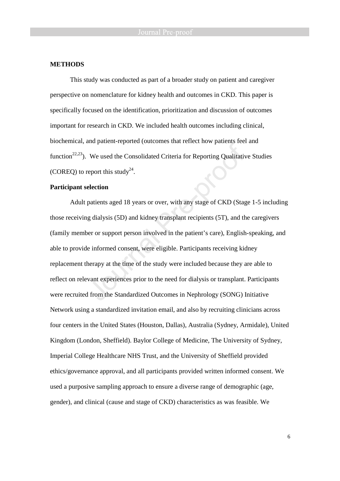#### **METHODS**

This study was conducted as part of a broader study on patient and caregiver perspective on nomenclature for kidney health and outcomes in CKD. This paper is specifically focused on the identification, prioritization and discussion of outcomes important for research in CKD. We included health outcomes including clinical, biochemical, and patient-reported (outcomes that reflect how patients feel and function<sup>22,23</sup>). We used the Consolidated Criteria for Reporting Qualitative Studies (COREQ) to report this study<sup>24</sup>.

### **Participant selection**

Adult patients aged 18 years or over, with any stage of CKD (Stage 1-5 including those receiving dialysis (5D) and kidney transplant recipients (5T), and the caregivers (family member or support person involved in the patient's care), English-speaking, and able to provide informed consent, were eligible. Participants receiving kidney replacement therapy at the time of the study were included because they are able to reflect on relevant experiences prior to the need for dialysis or transplant. Participants were recruited from the Standardized Outcomes in Nephrology (SONG) Initiative Network using a standardized invitation email, and also by recruiting clinicians across four centers in the United States (Houston, Dallas), Australia (Sydney, Armidale), United Kingdom (London, Sheffield). Baylor College of Medicine, The University of Sydney, Imperial College Healthcare NHS Trust, and the University of Sheffield provided ethics/governance approval, and all participants provided written informed consent. We used a purposive sampling approach to ensure a diverse range of demographic (age, gender), and clinical (cause and stage of CKD) characteristics as was feasible. We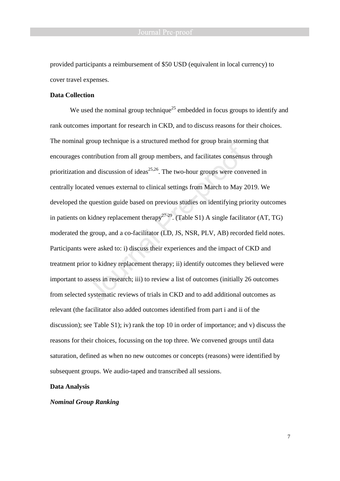provided participants a reimbursement of \$50 USD (equivalent in local currency) to cover travel expenses.

### **Data Collection**

We used the nominal group technique<sup>25</sup> embedded in focus groups to identify and rank outcomes important for research in CKD, and to discuss reasons for their choices. The nominal group technique is a structured method for group brain storming that encourages contribution from all group members, and facilitates consensus through prioritization and discussion of ideas<sup>25,26</sup>. The two-hour groups were convened in centrally located venues external to clinical settings from March to May 2019. We developed the question guide based on previous studies on identifying priority outcomes in patients on kidney replacement therapy<sup>27-29</sup>. (Table S1) A single facilitator (AT, TG) moderated the group, and a co-facilitator (LD, JS, NSR, PLV, AB) recorded field notes. Participants were asked to: i) discuss their experiences and the impact of CKD and treatment prior to kidney replacement therapy; ii) identify outcomes they believed were important to assess in research; iii) to review a list of outcomes (initially 26 outcomes from selected systematic reviews of trials in CKD and to add additional outcomes as relevant (the facilitator also added outcomes identified from part i and ii of the discussion); see Table S1); iv) rank the top 10 in order of importance; and v) discuss the reasons for their choices, focussing on the top three. We convened groups until data saturation, defined as when no new outcomes or concepts (reasons) were identified by subsequent groups. We audio-taped and transcribed all sessions.

### **Data Analysis**

#### *Nominal Group Ranking*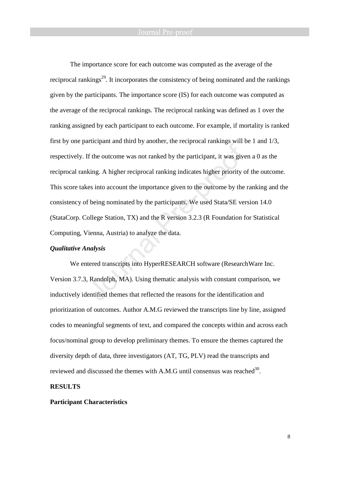The importance score for each outcome was computed as the average of the reciprocal rankings<sup>29</sup>. It incorporates the consistency of being nominated and the rankings given by the participants. The importance score (IS) for each outcome was computed as the average of the reciprocal rankings. The reciprocal ranking was defined as 1 over the ranking assigned by each participant to each outcome. For example, if mortality is ranked first by one participant and third by another, the reciprocal rankings will be 1 and 1/3, respectively. If the outcome was not ranked by the participant, it was given a 0 as the reciprocal ranking. A higher reciprocal ranking indicates higher priority of the outcome. This score takes into account the importance given to the outcome by the ranking and the consistency of being nominated by the participants. We used Stata/SE version 14.0 (StataCorp. College Station, TX) and the R version 3.2.3 (R Foundation for Statistical Computing, Vienna, Austria) to analyze the data.

#### *Qualitative Analysis*

We entered transcripts into HyperRESEARCH software (ResearchWare Inc. Version 3.7.3, Randolph, MA). Using thematic analysis with constant comparison, we inductively identified themes that reflected the reasons for the identification and prioritization of outcomes. Author A.M.G reviewed the transcripts line by line, assigned codes to meaningful segments of text, and compared the concepts within and across each focus/nominal group to develop preliminary themes. To ensure the themes captured the diversity depth of data, three investigators (AT, TG, PLV) read the transcripts and reviewed and discussed the themes with A.M.G until consensus was reached  $30$ .

### **RESULTS**

#### **Participant Characteristics**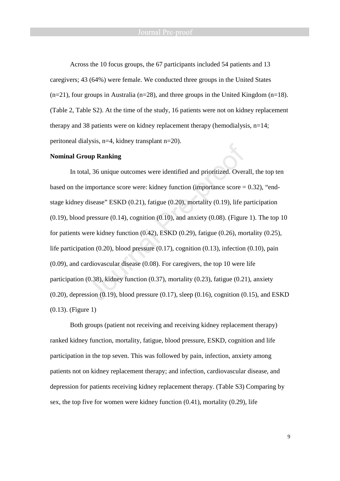Across the 10 focus groups, the 67 participants included 54 patients and 13 caregivers; 43 (64%) were female. We conducted three groups in the United States  $(n=21)$ , four groups in Australia (n=28), and three groups in the United Kingdom (n=18). (Table 2, Table S2). At the time of the study, 16 patients were not on kidney replacement therapy and 38 patients were on kidney replacement therapy (hemodialysis, n=14; peritoneal dialysis, n=4, kidney transplant n=20).

#### **Nominal Group Ranking**

In total, 36 unique outcomes were identified and prioritized. Overall, the top ten based on the importance score were: kidney function (importance score  $= 0.32$ ), "endstage kidney disease" ESKD (0.21), fatigue (0.20), mortality (0.19), life participation  $(0.19)$ , blood pressure  $(0.14)$ , cognition  $(0.10)$ , and anxiety  $(0.08)$ . (Figure 1). The top 10 for patients were kidney function (0.42), ESKD (0.29), fatigue (0.26), mortality (0.25), life participation  $(0.20)$ , blood pressure  $(0.17)$ , cognition  $(0.13)$ , infection  $(0.10)$ , pain (0.09), and cardiovascular disease (0.08). For caregivers, the top 10 were life participation (0.38), kidney function (0.37), mortality (0.23), fatigue (0.21), anxiety  $(0.20)$ , depression  $(0.19)$ , blood pressure  $(0.17)$ , sleep  $(0.16)$ , cognition  $(0.15)$ , and ESKD (0.13). (Figure 1)

Both groups (patient not receiving and receiving kidney replacement therapy) ranked kidney function, mortality, fatigue, blood pressure, ESKD, cognition and life participation in the top seven. This was followed by pain, infection, anxiety among patients not on kidney replacement therapy; and infection, cardiovascular disease, and depression for patients receiving kidney replacement therapy. (Table S3) Comparing by sex, the top five for women were kidney function (0.41), mortality (0.29), life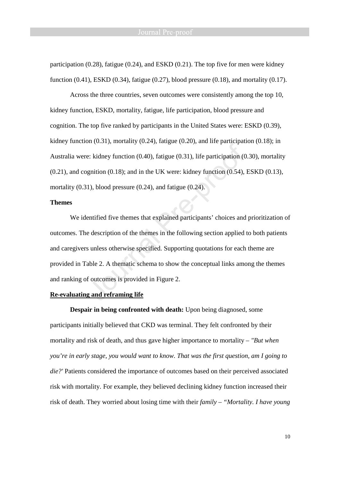participation (0.28), fatigue (0.24), and ESKD (0.21). The top five for men were kidney function  $(0.41)$ , ESKD  $(0.34)$ , fatigue  $(0.27)$ , blood pressure  $(0.18)$ , and mortality  $(0.17)$ .

Across the three countries, seven outcomes were consistently among the top 10, kidney function, ESKD, mortality, fatigue, life participation, blood pressure and cognition. The top five ranked by participants in the United States were: ESKD (0.39), kidney function  $(0.31)$ , mortality  $(0.24)$ , fatigue  $(0.20)$ , and life participation  $(0.18)$ ; in Australia were: kidney function (0.40), fatigue (0.31), life participation (0.30), mortality  $(0.21)$ , and cognition  $(0.18)$ ; and in the UK were: kidney function  $(0.54)$ , ESKD  $(0.13)$ , mortality (0.31), blood pressure (0.24), and fatigue (0.24).

#### **Themes**

We identified five themes that explained participants' choices and prioritization of outcomes. The description of the themes in the following section applied to both patients and caregivers unless otherwise specified. Supporting quotations for each theme are provided in Table 2. A thematic schema to show the conceptual links among the themes and ranking of outcomes is provided in Figure 2.

#### **Re-evaluating and reframing life**

**Despair in being confronted with death:** Upon being diagnosed, some participants initially believed that CKD was terminal. They felt confronted by their mortality and risk of death, and thus gave higher importance to mortality *– "But when you're in early stage, you would want to know. That was the first question, am I going to die?'* Patients considered the importance of outcomes based on their perceived associated risk with mortality. For example, they believed declining kidney function increased their risk of death. They worried about losing time with their *family – "Mortality. I have young*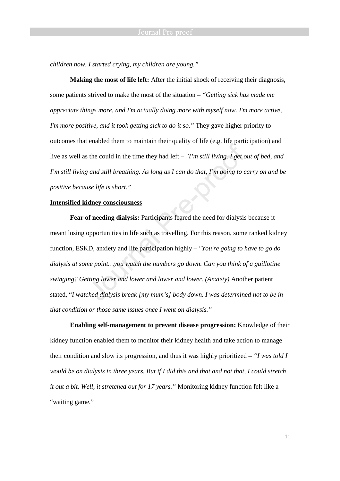*children now. I started crying, my children are young."*

**Making the most of life left:** After the initial shock of receiving their diagnosis, some patients strived to make the most of the situation *– "Getting sick has made me appreciate things more, and I'm actually doing more with myself now. I'm more active, I'm more positive, and it took getting sick to do it so."* They gave higher priority to outcomes that enabled them to maintain their quality of life (e.g. life participation) and live as well as the could in the time they had left *– "I'm still living. I get out of bed, and I'm still living and still breathing. As long as I can do that, I'm going to carry on and be positive because life is short."* 

#### **Intensified kidney consciousness**

**Fear of needing dialysis:** Participants feared the need for dialysis because it meant losing opportunities in life such as travelling. For this reason, some ranked kidney function, ESKD, anxiety and life participation highly – *"You're going to have to go do dialysis at some point…you watch the numbers go down. Can you think of a guillotine swinging? Getting lower and lower and lower and lower. (Anxiety)* Another patient stated, "*I watched dialysis break [my mum's] body down. I was determined not to be in that condition or those same issues once I went on dialysis."* 

**Enabling self-management to prevent disease progression:** Knowledge of their kidney function enabled them to monitor their kidney health and take action to manage their condition and slow its progression, and thus it was highly prioritized – *"I was told I would be on dialysis in three years. But if I did this and that and not that, I could stretch it out a bit. Well, it stretched out for 17 years."* Monitoring kidney function felt like a "waiting game."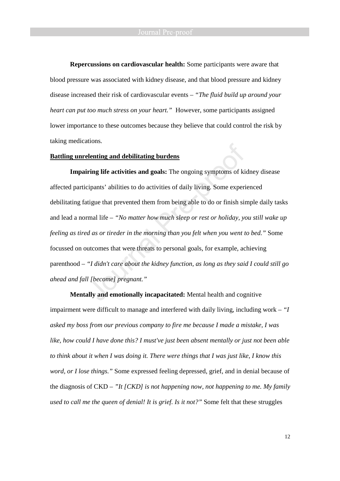**Repercussions on cardiovascular health:** Some participants were aware that blood pressure was associated with kidney disease, and that blood pressure and kidney disease increased their risk of cardiovascular events – *"The fluid build up around your heart can put too much stress on your heart."* However, some participants assigned lower importance to these outcomes because they believe that could control the risk by taking medications*.*

#### **Battling unrelenting and debilitating burdens**

**Impairing life activities and goals:** The ongoing symptoms of kidney disease affected participants' abilities to do activities of daily living. Some experienced debilitating fatigue that prevented them from being able to do or finish simple daily tasks and lead a normal life *– "No matter how much sleep or rest or holiday, you still wake up feeling as tired as or tireder in the morning than you felt when you went to bed."* Some focussed on outcomes that were threats to personal goals, for example, achieving parenthood *– "I didn't care about the kidney function, as long as they said I could still go ahead and fall [become] pregnant."*

**Mentally and emotionally incapacitated:** Mental health and cognitive impairment were difficult to manage and interfered with daily living, including work *– "I asked my boss from our previous company to fire me because I made a mistake, I was like, how could I have done this? I must've just been absent mentally or just not been able to think about it when I was doing it. There were things that I was just like, I know this word, or I lose things."* Some expressed feeling depressed, grief, and in denial because of the diagnosis of CKD *– "It [CKD] is not happening now, not happening to me. My family used to call me the queen of denial! It is grief. Is it not?"* Some felt that these struggles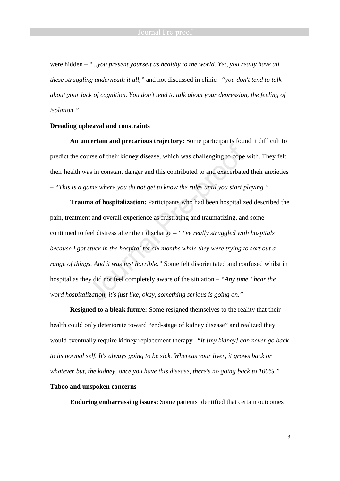were hidden *–* "*...you present yourself as healthy to the world. Yet, you really have all these struggling underneath it all,"* and not discussed in clinic *–"you don't tend to talk about your lack of cognition. You don't tend to talk about your depression, the feeling of isolation."*

#### **Dreading upheaval and constraints**

**An uncertain and precarious trajectory:** Some participants found it difficult to predict the course of their kidney disease, which was challenging to cope with. They felt their health was in constant danger and this contributed to and exacerbated their anxieties *– "This is a game where you do not get to know the rules until you start playing."*

**Trauma of hospitalization:** Participants who had been hospitalized described the pain, treatment and overall experience as frustrating and traumatizing, and some continued to feel distress after their discharge *– "I've really struggled with hospitals because I got stuck in the hospital for six months while they were trying to sort out a range of things. And it was just horrible."* Some felt disorientated and confused whilst in hospital as they did not feel completely aware of the situation *– "Any time I hear the word hospitalization, it's just like, okay, something serious is going on."* 

**Resigned to a bleak future:** Some resigned themselves to the reality that their health could only deteriorate toward "end-stage of kidney disease" and realized they would eventually require kidney replacement therapy*–* "*It [my kidney] can never go back to its normal self. It's always going to be sick. Whereas your liver, it grows back or whatever but, the kidney, once you have this disease, there's no going back to 100%."*

### **Taboo and unspoken concerns**

**Enduring embarrassing issues:** Some patients identified that certain outcomes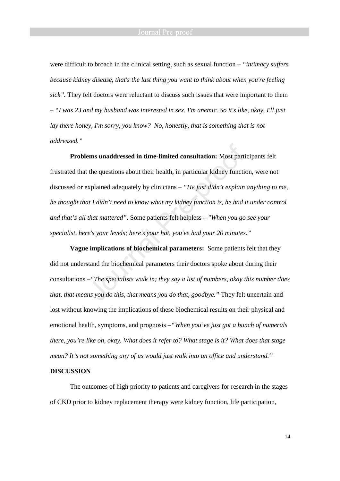were difficult to broach in the clinical setting, such as sexual function *– "intimacy suffers because kidney disease, that's the last thing you want to think about when you're feeling sick".* They felt doctors were reluctant to discuss such issues that were important to them *– "I was 23 and my husband was interested in sex. I'm anemic. So it's like, okay, I'll just lay there honey, I'm sorry, you know? No, honestly, that is something that is not addressed."*

**Problems unaddressed in time-limited consultation:** Most participants felt frustrated that the questions about their health, in particular kidney function, were not discussed or explained adequately by clinicians *– "He just didn't explain anything to me, he thought that I didn't need to know what my kidney function is, he had it under control and that's all that mattered".* Some patients felt helpless – *"When you go see your specialist, here's your levels; here's your hat, you've had your 20 minutes."*

**Vague implications of biochemical parameters:** Some patients felt that they did not understand the biochemical parameters their doctors spoke about during their consultations*.–"The specialists walk in; they say a list of numbers, okay this number does that, that means you do this, that means you do that, goodbye."* They felt uncertain and lost without knowing the implications of these biochemical results on their physical and emotional health, symptoms, and prognosis *–"When you've just got a bunch of numerals there, you're like oh, okay. What does it refer to? What stage is it? What does that stage mean? It's not something any of us would just walk into an office and understand."* 

#### **DISCUSSION**

The outcomes of high priority to patients and caregivers for research in the stages of CKD prior to kidney replacement therapy were kidney function, life participation,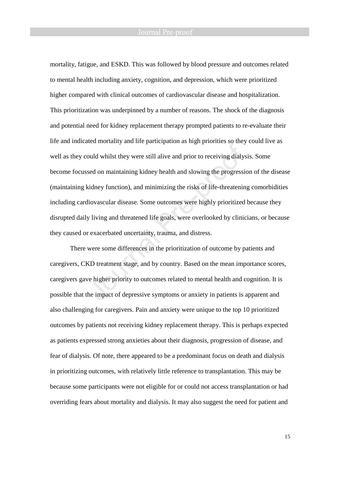#### Journal Pre-proof

mortality, fatigue, and ESKD. This was followed by blood pressure and outcomes related to mental health including anxiety, cognition, and depression, which were prioritized higher compared with clinical outcomes of cardiovascular disease and hospitalization. This prioritization was underpinned by a number of reasons. The shock of the diagnosis and potential need for kidney replacement therapy prompted patients to re-evaluate their life and indicated mortality and life participation as high priorities so they could live as well as they could whilst they were still alive and prior to receiving dialysis. Some become focussed on maintaining kidney health and slowing the progression of the disease (maintaining kidney function), and minimizing the risks of life-threatening comorbidities including cardiovascular disease. Some outcomes were highly prioritized because they disrupted daily living and threatened life goals, were overlooked by clinicians, or because they caused or exacerbated uncertainty, trauma, and distress.

There were some differences in the prioritization of outcome by patients and caregivers, CKD treatment stage, and by country. Based on the mean importance scores, caregivers gave higher priority to outcomes related to mental health and cognition. It is possible that the impact of depressive symptoms or anxiety in patients is apparent and also challenging for caregivers. Pain and anxiety were unique to the top 10 prioritized outcomes by patients not receiving kidney replacement therapy. This is perhaps expected as patients expressed strong anxieties about their diagnosis, progression of disease, and fear of dialysis. Of note, there appeared to be a predominant focus on death and dialysis in prioritizing outcomes, with relatively little reference to transplantation. This may be because some participants were not eligible for or could not access transplantation or had overriding fears about mortality and dialysis. It may also suggest the need for patient and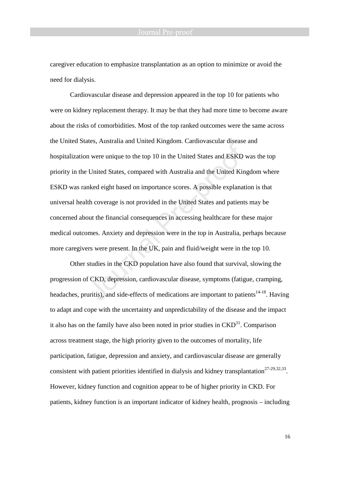caregiver education to emphasize transplantation as an option to minimize or avoid the need for dialysis.

Cardiovascular disease and depression appeared in the top 10 for patients who were on kidney replacement therapy. It may be that they had more time to become aware about the risks of comorbidities. Most of the top ranked outcomes were the same across the United States, Australia and United Kingdom. Cardiovascular disease and hospitalization were unique to the top 10 in the United States and ESKD was the top priority in the United States, compared with Australia and the United Kingdom where ESKD was ranked eight based on importance scores. A possible explanation is that universal health coverage is not provided in the United States and patients may be concerned about the financial consequences in accessing healthcare for these major medical outcomes. Anxiety and depression were in the top in Australia, perhaps because more caregivers were present. In the UK, pain and fluid/weight were in the top 10.

Other studies in the CKD population have also found that survival, slowing the progression of CKD, depression, cardiovascular disease, symptoms (fatigue, cramping, headaches, pruritis), and side-effects of medications are important to patients<sup>14-18</sup>. Having to adapt and cope with the uncertainty and unpredictability of the disease and the impact it also has on the family have also been noted in prior studies in  $\text{CKD}^{31}$ . Comparison across treatment stage, the high priority given to the outcomes of mortality, life participation, fatigue, depression and anxiety, and cardiovascular disease are generally consistent with patient priorities identified in dialysis and kidney transplantation<sup>27-29,32,33</sup>. However, kidney function and cognition appear to be of higher priority in CKD. For patients, kidney function is an important indicator of kidney health, prognosis – including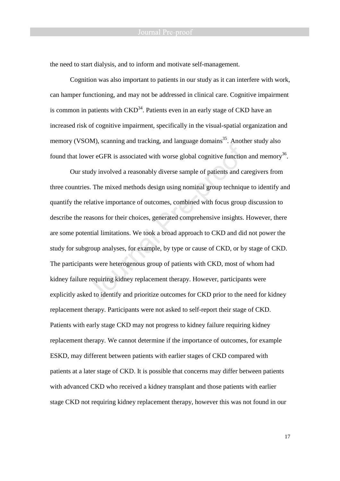the need to start dialysis, and to inform and motivate self-management.

Cognition was also important to patients in our study as it can interfere with work, can hamper functioning, and may not be addressed in clinical care. Cognitive impairment is common in patients with  $\text{CKD}^{34}$ . Patients even in an early stage of CKD have an increased risk of cognitive impairment, specifically in the visual-spatial organization and memory (VSOM), scanning and tracking, and language domains<sup>35</sup>. Another study also found that lower eGFR is associated with worse global cognitive function and memory<sup>36</sup>.

Our study involved a reasonably diverse sample of patients and caregivers from three countries. The mixed methods design using nominal group technique to identify and quantify the relative importance of outcomes, combined with focus group discussion to describe the reasons for their choices, generated comprehensive insights. However, there are some potential limitations. We took a broad approach to CKD and did not power the study for subgroup analyses, for example, by type or cause of CKD, or by stage of CKD. The participants were heterogenous group of patients with CKD, most of whom had kidney failure requiring kidney replacement therapy. However, participants were explicitly asked to identify and prioritize outcomes for CKD prior to the need for kidney replacement therapy. Participants were not asked to self-report their stage of CKD. Patients with early stage CKD may not progress to kidney failure requiring kidney replacement therapy. We cannot determine if the importance of outcomes, for example ESKD, may different between patients with earlier stages of CKD compared with patients at a later stage of CKD. It is possible that concerns may differ between patients with advanced CKD who received a kidney transplant and those patients with earlier stage CKD not requiring kidney replacement therapy, however this was not found in our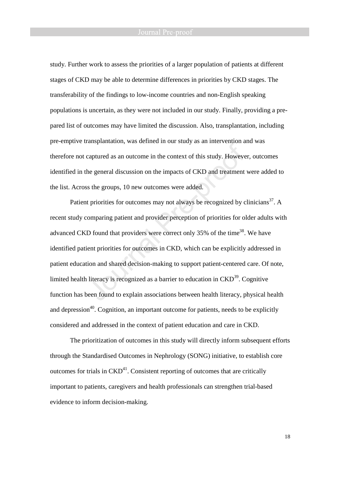#### Journal Pre-proof

study. Further work to assess the priorities of a larger population of patients at different stages of CKD may be able to determine differences in priorities by CKD stages. The transferability of the findings to low-income countries and non-English speaking populations is uncertain, as they were not included in our study. Finally, providing a prepared list of outcomes may have limited the discussion. Also, transplantation, including pre-emptive transplantation, was defined in our study as an intervention and was therefore not captured as an outcome in the context of this study. However, outcomes identified in the general discussion on the impacts of CKD and treatment were added to the list. Across the groups, 10 new outcomes were added.

Patient priorities for outcomes may not always be recognized by clinicians<sup>37</sup>. A recent study comparing patient and provider perception of priorities for older adults with advanced CKD found that providers were correct only 35% of the time<sup>38</sup>. We have identified patient priorities for outcomes in CKD, which can be explicitly addressed in patient education and shared decision-making to support patient-centered care. Of note, limited health literacy is recognized as a barrier to education in  $CKD<sup>39</sup>$ . Cognitive function has been found to explain associations between health literacy, physical health and depression<sup>40</sup>. Cognition, an important outcome for patients, needs to be explicitly considered and addressed in the context of patient education and care in CKD.

The prioritization of outcomes in this study will directly inform subsequent efforts through the Standardised Outcomes in Nephrology (SONG) initiative, to establish core outcomes for trials in  $\text{CKD}^{41}$ . Consistent reporting of outcomes that are critically important to patients, caregivers and health professionals can strengthen trial-based evidence to inform decision-making.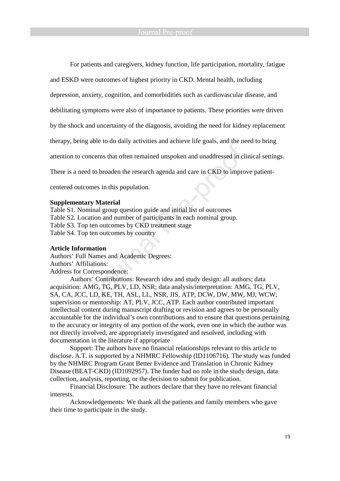For patients and caregivers, kidney function, life participation, mortality, fatigue

and ESKD were outcomes of highest priority in CKD. Mental health, including

depression, anxiety, cognition, and comorbidities such as cardiovascular disease, and

debilitating symptoms were also of importance to patients. These priorities were driven

by the shock and uncertainty of the diagnosis, avoiding the need for kidney replacement

therapy, being able to do daily activities and achieve life goals, and the need to bring

attention to concerns that often remained unspoken and unaddressed in clinical settings.

There is a need to broaden the research agenda and care in CKD to improve patient-

centered outcomes in this population.

#### **Supplementary Material**

Table S1. Nominal group question guide and initial list of outcomes Table S2. Location and number of participants in each nominal group. Table S3. Top ten outcomes by CKD treatment stage Table S4. Top ten outcomes by country

#### **Article Information**

Authors' Full Names and Academic Degrees: Authors' Affiliations: Address for Correspondence:

Authors' Contributions: Research idea and study design: all authors; data acquisition: AMG, TG, PLV, LD, NSR; data analysis/interpretation: AMG, TG, PLV, SA, CA, JCC, LD, KE, TH, ASL, LL, NSR, JIS, ATP, DCW, DW, MW, MJ, WCW; supervision or mentorship: AT, PLV, JCC, ATP. Each author contributed important intellectual content during manuscript drafting or revision and agrees to be personally accountable for the individual's own contributions and to ensure that questions pertaining to the accuracy or integrity of any portion of the work, even one in which the author was not directly involved, are appropriately investigated and resolved, including with documentation in the literature if appropriate

Support: The authors have no financial relationships relevant to this article to disclose. A.T. is supported by a NHMRC Fellowship (ID1106716). The study was funded by the NHMRC Program Grant Better Evidence and Translation in Chronic Kidney Disease (BEAT-CKD) (ID1092957). The funder had no role in the study design, data collection, analysis, reporting, or the decision to submit for publication.

Financial Disclosure: The authors declare that they have no relevant financial interests.

Acknowledgements: We thank all the patients and family members who gave their time to participate in the study.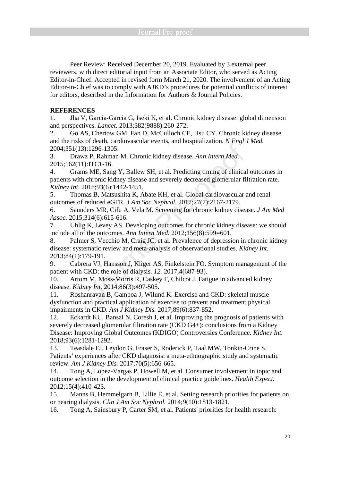Peer Review: Received December 20, 2019. Evaluated by 3 external peer reviewers, with direct editorial input from an Associate Editor, who served as Acting Editor-in-Chief. Accepted in revised form March 21, 2020. The involvement of an Acting Editor-in-Chief was to comply with AJKD's procedures for potential conflicts of interest for editors, described in the Information for Authors & Journal Policies.

### **REFERENCES**

1. Jha V, Garcia-Garcia G, Iseki K, et al. Chronic kidney disease: global dimension and perspectives. *Lancet.* 2013;382(9888):260-272.

2. Go AS, Chertow GM, Fan D, McCulloch CE, Hsu CY. Chronic kidney disease and the risks of death, cardiovascular events, and hospitalization. *N Engl J Med.*  2004;351(13):1296-1305.

3. Drawz P, Rahman M. Chronic kidney disease. *Ann Intern Med.*  2015;162(11):ITC1-16.

4. Grams ME, Sang Y, Ballew SH, et al. Predicting timing of clinical outcomes in patients with chronic kidney disease and severely decreased glomerular filtration rate. *Kidney Int.* 2018;93(6):1442-1451.

5. Thomas B, Matsushita K, Abate KH, et al. Global cardiovascular and renal outcomes of reduced eGFR. *J Am Soc Nephrol.* 2017;27(7):2167-2179.

6. Saunders MR, Cifu A, Vela M. Screening for chronic kidney disease. *J Am Med Assoc.* 2015;314(6):615-616.

7. Uhlig K, Levey AS. Developing outcomes for chronic kidney disease: we should include all of the outcomes. *Ann Intern Med.* 2012;156(8):599=601.

8. Palmer S, Vecchio M, Craig JC, et al. Prevalence of depression in chronic kidney disease: systematic review and meta-analysis of observational studies. *Kidney Int.*  2013;84(1):179-191.

9. Cabrera VJ, Hansson J, Kliger AS, Finkelstein FO. Symptom management of the patient with CKD: the role of dialysis. *12.* 2017;4(687-93).

10. Artom M, Moss-Morris R, Caskey F, Chilcot J. Fatigue in advanced kidney disease. *Kidney Int.* 2014;86(3):497-505.

11. Roshanravan B, Gamboa J, Wilund K. Exercise and CKD: skeletal muscle dysfunction and practical application of exercise to prevent and treatment physical impairments in CKD. *Am J Kidney Dis.* 2017;89(6):837-852.

12. Eckardt KU, Bansal N, Coresh J, et al. Improving the prognosis of patients with severely decreased glomerular filtration rate (CKD G4+): conclusions from a Kidney Disease: Improving Global Outcomes (KDIGO) Controversies Conference. *Kidney Int.*  2018;93(6):1281-1292.

13. Teasdale EJ, Leydon G, Fraser S, Roderick P, Taal MW, Tonkin-Crine S. Patients' experiences after CKD diagnosis: a meta-ethnographic study and systematic review. *Am J Kidney Dis.* 2017;70(5):656-665.

14. Tong A, Lopez-Vargas P, Howell M, et al. Consumer involvement in topic and outcome selection in the development of clinical practice guidelines. *Health Expect.*  2012;15(4):410-423.

15. Manns B, Hemmelgarn B, Lillie E, et al. Setting research priorities for patients on or nearing dialysis. *Clin J Am Soc Nephrol.* 2014;9(10):1813-1821.

16. Tong A, Sainsbury P, Carter SM, et al. Patients' priorities for health research: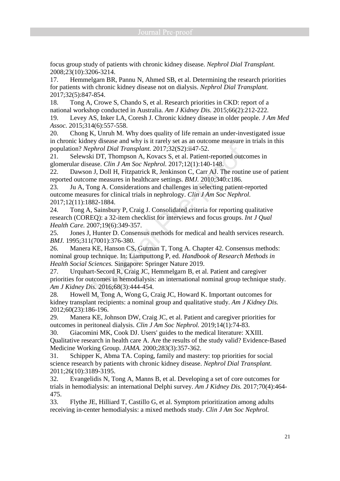focus group study of patients with chronic kidney disease. *Nephrol Dial Transplant.*  2008;23(10):3206-3214.

17. Hemmelgarn BR, Pannu N, Ahmed SB, et al. Determining the research priorities for patients with chronic kidney disease not on dialysis. *Nephrol Dial Transplant.*  2017;32(5):847-854.

18. Tong A, Crowe S, Chando S, et al. Research priorities in CKD: report of a national workshop conducted in Australia. *Am J Kidney Dis.* 2015;66(2):212-222.

19. Levey AS, Inker LA, Coresh J. Chronic kidney disease in older people. *J Am Med Assoc.* 2015;314(6):557-558.

20. Chong K, Unruh M. Why does quality of life remain an under-investigated issue in chronic kidney disease and why is it rarely set as an outcome measure in trials in this population? *Nephrol Dial Transplant.* 2017;32(S2):ii47-52.

21. Selewski DT, Thompson A, Kovacs S, et al. Patient-reported outcomes in glomerular disease. *Clin J Am Soc Nephrol.* 2017;12(1):140-148.

22. Dawson J, Doll H, Fitzpatrick R, Jenkinson C, Carr AJ. The routine use of patient reported outcome measures in healthcare settings. *BMJ.* 2010;340:c186.

23. Ju A, Tong A. Considerations and challenges in selecting patient-reported outcome measures for clinical trials in nephrology. *Clin J Am Soc Nephrol.*  2017;12(11):1882-1884.

24. Tong A, Sainsbury P, Craig J. Consolidated criteria for reporting qualitative research (COREQ): a 32-item checklist for interviews and focus groups. *Int J Qual Health Care.* 2007;19(6):349-357.

25. Jones J, Hunter D. Consensus methods for medical and health services research. *BMJ.* 1995;311(7001):376-380.

26. Manera KE, Hanson CS, Gutman T, Tong A. Chapter 42. Consensus methods: nominal group technique. In: Liamputtong P, ed. *Handbook of Research Methods in Health Social Sciences.* Singapore: Springer Nature 2019.

27. Urquhart-Secord R, Craig JC, Hemmelgarn B, et al. Patient and caregiver priorities for outcomes in hemodialysis: an international nominal group technique study. *Am J Kidney Dis.* 2016;68(3):444-454.

28. Howell M, Tong A, Wong G, Craig JC, Howard K. Important outcomes for kidney transplant recipients: a nominal group and qualitative study. *Am J Kidney Dis.*  2012;60(23):186-196.

29. Manera KE, Johnson DW, Craig JC, et al. Patient and caregiver priorities for outcomes in peritoneal dialysis. *Clin J Am Soc Nephrol.* 2019;14(1):74-83.

30. Giacomini MK, Cook DJ. Users' guides to the medical literature: XXIII. Qualitative research in health care A. Are the results of the study valid? Evidence-Based Medicine Working Group. *JAMA.* 2000;283(3):357-362.

31. Schipper K, Abma TA. Coping, family and mastery: top priorities for social science research by patients with chronic kidney disease. *Nephrol Dial Transplant.*  2011;26(10):3189-3195.

32. Evangelidis N, Tong A, Manns B, et al. Developing a set of core outcomes for trials in hemodialysis: an international Delphi survey. *Am J Kidney Dis.* 2017;70(4):464- 475.

33. Flythe JE, Hilliard T, Castillo G, et al. Symptom prioritization among adults receiving in-center hemodialysis: a mixed methods study. *Clin J Am Soc Nephrol.*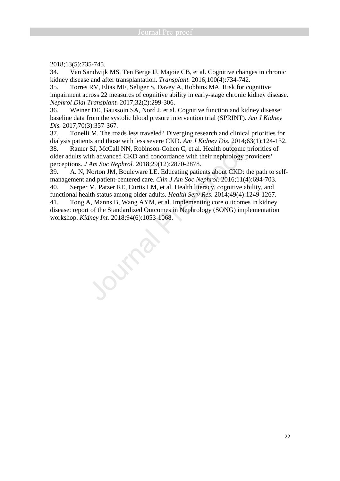2018;13(5):735-745.

34. Van Sandwijk MS, Ten Berge IJ, Majoie CB, et al. Cognitive changes in chronic kidney disease and after transplantation. *Transplant.* 2016;100(4):734-742.

35. Torres RV, Elias MF, Seliger S, Davey A, Robbins MA. Risk for cognitive impairment across 22 measures of cognitive ability in early-stage chronic kidney disease. *Nephrol Dial Transplant.* 2017;32(2):299-306.

36. Weiner DE, Gaussoin SA, Nord J, et al. Cognitive function and kidney disease: baseline data from the systolic blood presure intervention trial (SPRINT). *Am J Kidney Dis.* 2017;70(3):357-367.

37. Tonelli M. The roads less traveled? Diverging research and clinical priorities for dialysis patients and those with less severe CKD. *Am J Kidney Dis.* 2014;63(1):124-132.

38. Ramer SJ, McCall NN, Robinson-Cohen C, et al. Health outcome priorities of older adults with advanced CKD and concordance with their nephrology providers' perceptions. *J Am Soc Nephrol.* 2018;29(12):2870-2878.

39. A. N, Norton JM, Bouleware LE. Educating patients about CKD: the path to selfmanagement and patient-centered care. *Clin J Am Soc Nephrol.* 2016;11(4):694-703. 40. Serper M, Patzer RE, Curtis LM, et al. Health literacy, cognitive ability, and

functional health status among older adults. *Health Serv Res.* 2014;49(4):1249-1267. 41. Tong A, Manns B, Wang AYM, et al. Implementing core outcomes in kidney

disease: report of the Standardized Outcomes in Nephrology (SONG) implementation workshop. *Kidney Int.* 2018;94(6):1053-1068.

OUFF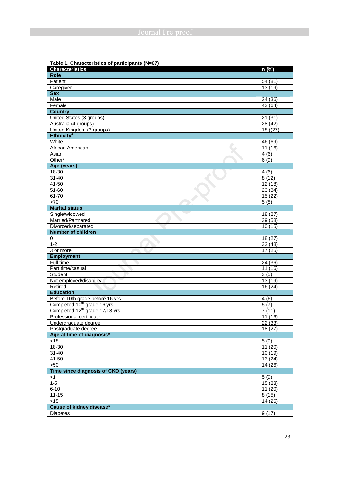### **Table 1. Characteristics of participants (N=67)**

| <b>Characteristics</b>                     | n (%)                |
|--------------------------------------------|----------------------|
| <b>Role</b>                                |                      |
| Patient                                    | 54 (81)              |
| Caregiver                                  | 13 (19)              |
| Sex                                        |                      |
| Male                                       | 24 (36)              |
| Female                                     | 43 (64)              |
| <b>Country</b>                             |                      |
| United States (3 groups)                   | 21(31)               |
| Australia (4 groups)                       | 28 (42)              |
| United Kingdom (3 groups)                  | 18(27)               |
| <b>Ethnicity<sup>a</sup></b>               |                      |
| White                                      | 46 (69)              |
| African American                           | 11(16)               |
| Asian                                      | 4(6)                 |
| Other*                                     | 6(9)                 |
| Age (years)                                |                      |
| $18 - 30$                                  | 4(6)                 |
| $31 - 40$                                  | 8(12)                |
| $41 - 50$                                  | 12(18)               |
| 51-60                                      | 23(34)               |
| 61-70                                      | 15(22)               |
| >70                                        | 5(8)                 |
| <b>Marital status</b>                      |                      |
| Single/widowed                             | 18(27)               |
| Married/Partnered                          | 39 (58)              |
| Divorced/separated                         | 10(15)               |
| <b>Number of children</b>                  |                      |
| 0                                          | 18 (27)              |
| $1 - 2$                                    | 32(48)               |
| 3 or more                                  | 17(25)               |
| <b>Employment</b>                          |                      |
| Full time                                  | 24 (36)              |
| Part time/casual                           | 11(16)               |
| Student                                    | 3(5)                 |
| Not employed/disability                    | 13 (19)              |
| Retired                                    | $\overline{16}$ (24) |
| <b>Education</b>                           |                      |
| Before 10th grade before 16 yrs            | 4(6)                 |
| Completed 10 <sup>th</sup> grade 16 yrs    | 5(7)                 |
| Completed 12 <sup>th</sup> grade 17/18 yrs | 7(11)                |
| Professional certificate                   | 11(16)               |
| Undergraduate degree                       | 22(33)               |
| Postgraduate degree                        | 18 (27)              |
| Age at time of diagnosis*                  |                      |
| $<18$                                      | 5(9)                 |
| 18-30                                      | 11(20)               |
| $31 - 40$                                  | 10(19)               |
| $41 - 50$                                  | 13(24)               |
| >50                                        | 14 (26)              |
| Time since diagnosis of CKD (years)        |                      |
| $<$ 1                                      | 5(9)                 |
| $1-5$                                      | 15(28)               |
| $6 - 10$                                   | 11(20)               |
| $11 - 15$                                  | 8(15)                |
| $>15$                                      | 14 (26)              |
| Cause of kidney disease*                   |                      |
| <b>Diabetes</b>                            | 9(17)                |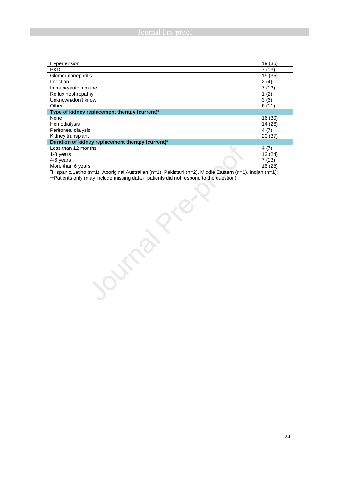| Hypertension                                      | 19 (35) |
|---------------------------------------------------|---------|
| <b>PKD</b>                                        | 7(13)   |
| Glomerulonephritis                                | 19 (35) |
| Infection                                         | 2(4)    |
| Immune/autoimmune                                 | 7(13)   |
| Reflux nephropathy                                | (2)     |
| Unknown/don't know                                | 3(6)    |
| Other <sup>c</sup>                                | 6(11)   |
| Type of kidney replacement therapy (current)*     |         |
| None                                              | 16 (30) |
| Hemodialysis                                      | 14 (26) |
| Peritoneal dialysis                               | 4(7)    |
| Kidney transplant                                 | 20(37)  |
| Duration of kidney replacement therapy (current)* |         |
| Less than 12 months                               | 4(7)    |
| 1-3 years                                         | 13(24)  |
| 4-6 years                                         | 7(13)   |
| More than 6 years                                 | 15 (28) |

aHispanic/Latino (n=1), Aboriginal Australian (n=1), Pakistani (n=2), Middle Eastern (n=1), Indian (n=1);

Joseph's Right

\*\*Patients only (may include missing data if patients did not respond to the question)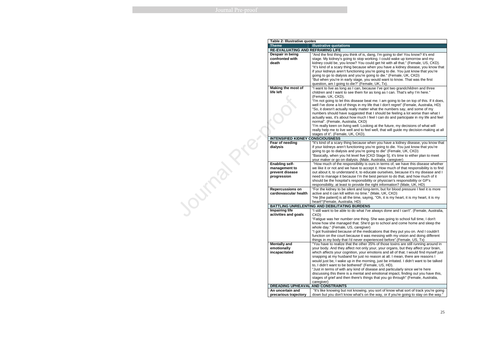**Purple** 

 "I want to live as long as I can, because I've got two grandchildren and three for as long as I can. That's why I'm here."

e beat me. I am going to be on top of this. If it does, my life that I don't regret" (Female, Australia, HD) atter what the numbers say, and some of my numbers should have suggested that I should be feeling a lot worse than what I actually was, it's about how much I feel I can do and participate in my life and feel

 "How much of the responsibility is ours in terms of, we have this disease whether we like it or not and we have to accept it. How much of that responsibility is to find out about it, to understand it, to educate ourselves, because it's my disease and I the best person to do that, and how much of it sibility or physician's responsibility or GP's le the right information? (Male, UK, HD)

 "For the kidney to be silent and long-term, but for blood pressure I feel it is more me." (Male, UK, CKD)

 "I'm really keen on living well. Looking at the future, my decisions of what will really help me to live well and to feel well, that will guide my decision-making at all

ise when you have a kidney disease, you know that ig you're going to die. You just know that you're re going to die" (Female, UK, CKD) "Basically, when you hit level five [CKD Stage 5], it's time to either plan to meet Vale, Australia, caregiver)

 "I got frustrated because of the medications that they put you on. And I couldn't function on the court because it was messing with my vision and doing different r experienced before".(Female, US, Tx)

 "You have to realize that the other 35% of those toxins are still running around in only your, your organs, but they affect your brain, which affects your cognition, your emotions and all of that. I would find myself just st no reason at all. I mean, there are reasons I would just be, I wake up in the morning, just be irritated. I didn't want to be talked ' (Female, US, HD).

 "Just in terms of with any kind of disease and particularly since we're here discussing this there is a mental and emotional impact, finding out you have this, things that you go through" (Female, Australia,

> ing, you sort of know what sort of track you're going s on the way, or if you're going to stay on the way."

| Table 2: Illustrative quotes            |                                                                                    |
|-----------------------------------------|------------------------------------------------------------------------------------|
| <b>Theme</b>                            | <b>Illustrative quotations</b>                                                     |
| <b>RE-EVALUATING AND REFRAMING LIFE</b> |                                                                                    |
| Despair in being                        | "And the first thing you think of is, da                                           |
| confronted with                         | stage. My kidney's going to stop wo                                                |
| death                                   | kidney could be, you know? You co                                                  |
|                                         | "It's kind of a scary thing because w                                              |
|                                         | if your kidneys aren't functioning you                                             |
|                                         | going to go to dialysis and you're go                                              |
|                                         | "But when you're in early stage, you                                               |
|                                         | question, am I going to die?" (Fema                                                |
| <b>Making the most of</b>               | "I want to live as long as I can, beca                                             |
| life left                               | children and I want to see them for a                                              |
|                                         | (Female, UK, CKD).                                                                 |
|                                         | "I'm not going to let this disease bea<br>well I've done a lot of things in my lif |
|                                         | "So, it doesn't actually really matter                                             |
|                                         | numbers should have suggested tha                                                  |
|                                         | actually was, it's about how much I f                                              |
|                                         | normal". (Female, Australia, CKD)                                                  |
|                                         | "I'm really keen on living well. Lookir                                            |
|                                         | really help me to live well and to fee                                             |
|                                         | stages of it". (Female, UK, CKD).                                                  |
| <b>INTENSIFIED KIDNEY CONSCIOUSNESS</b> |                                                                                    |
| Fear of needing                         | "It's kind of a scary thing because w                                              |
| dialysis                                | if your kidneys aren't functioning you                                             |
|                                         | going to go to dialysis and you're go                                              |
|                                         | "Basically, when you hit level five [C                                             |
|                                         | your maker or go on dialysis. (Male,                                               |
| <b>Enabling self-</b>                   | "How much of the responsibility is c                                               |
| management to                           | we like it or not and we have to acce                                              |
| prevent disease                         | out about it, to understand it, to edu                                             |
| progression                             | need to manage it because I'm the I                                                |
|                                         | should be the hospital's responsibilit                                             |
|                                         | responsibility, at least to provide the                                            |
| <b>Repercussions on</b>                 | "For the kidney to be silent and long                                              |
| cardiovascular health                   | active and it can kill within no time."                                            |
|                                         | "He [the patient] is all the time, sayir                                           |
|                                         | heart!"(Female, Australia, HD)                                                     |
|                                         | <b>BATTLING UNRELENTING AND DEBILITATING BURDENS</b>                               |
| <b>Impairing life</b>                   | "I still want to be able to do what I've                                           |
| activities and goals                    | CKD)                                                                               |
|                                         | "Fatigue was her number one thing.                                                 |
|                                         | know how she managed that. She'd                                                   |
|                                         | whole day." (Female, US, caregiver)                                                |
|                                         | "I got frustrated because of the med                                               |
|                                         | function on the court because it was<br>things in my body that I'd never expe      |
| <b>Mentally and</b>                     | "You have to realize that the other 3                                              |
| emotionally                             | your body. And they affect not only                                                |
| incapacitated                           | which affects your cognition, your er                                              |
|                                         | snapping at my husband for just no                                                 |
|                                         | would just be, I wake up in the morn                                               |
|                                         | to, I didn't want to be bothered" (Fer                                             |
|                                         | "Just in terms of with any kind of dis                                             |
|                                         | discussing this there is a mental and                                              |
|                                         | stages of grief and then there's thing                                             |
|                                         | caregiver)                                                                         |
| <b>DREADING UPHEAVAL</b>                | <b>AND CONSTRAINTS</b>                                                             |
| An uncertain and                        | "It's like knowing but not knowing, y                                              |
| precarious trajectory                   | down but you don't know what's on t                                                |
|                                         |                                                                                    |

is, dang, I'm going to die! You know? It's end stage. My kidney's going to stop working. I could wake up tomorrow and my kidney could be, you know? You could get hit with all that." (Female, US, CKD). "It's kind of a scary thing because when you have a kidney disease, you know that ig you're going to die. You just know that you're re going to die." (Female, UK, CKD) "But when you're in early stage, you would want to know. That was the first Female, UK, Tx).

"He [the patient] is all the time, saying, "Oh, it is my heart, it is my heart, it is my

"I still want to be able to do what I've always done and I can't". (Female, Australia,

hing. She was going to school full time, I don't know how she managed that. She'd go to school and come home and sleep the giver)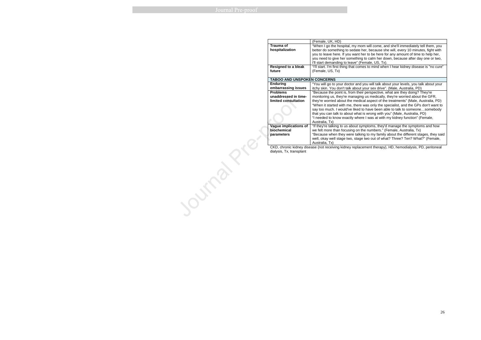"I'll start. I'm first thing that comes to mind when I hear kidney disease is "no cure"

you will talk about your levels, you talk about your your sex drive". (Male, Australia, PD) "Because the point is, from their perspective, what are they doing? They're monitoring us, they're managing us medically, they're worried about the GFR, they're worried about the medical aspect of the treatments" (Male, Australia, PD) "When it started with me, there was only the specialist, and the GPs don't want to say too much. I would've liked to have been able to talk to someone…somebody is wrong with you" (Male, Australia, PD) "I needed to know exactly where I was at with my kidney function" (Female,

mptoms, they'd manage the symptoms and how he numbers." (Female, Australia, Tx) "Because when they were talking to my family about the different stages, they said two out of what? Three? Ten? What?" (Female,

ement therapy), HD, hemodialysis, PD, peritoneal

|                                                           | (Female, UK, HD)                                                        |  |
|-----------------------------------------------------------|-------------------------------------------------------------------------|--|
| <b>Trauma of</b>                                          | "When I go the hospital, my mor                                         |  |
| hospitalization                                           | better do something to sedate h                                         |  |
|                                                           | you to leave here. If you want he                                       |  |
|                                                           | you need to give her something                                          |  |
|                                                           | I'll start demanding to leave" (Fe                                      |  |
| <b>Resigned to a bleak</b>                                | "I'll start. I'm first thing that come                                  |  |
| future                                                    | (Female, US, Tx)                                                        |  |
|                                                           |                                                                         |  |
|                                                           | <b>TABOO AND UNSPOKEN CONCERNS</b>                                      |  |
| <b>Enduring</b>                                           | "You will go to your doctor and y                                       |  |
| embarrassing issues                                       | itchy skin. You don't talk about y                                      |  |
| <b>Problems</b>                                           | "Because the point is, from their                                       |  |
| unaddressed in time-                                      | monitoring us, they're managing                                         |  |
| limited consultation                                      | they're worried about the medic                                         |  |
|                                                           | "When it started with me, there                                         |  |
|                                                           | say too much. I would've liked to                                       |  |
|                                                           | that you can talk to about what i                                       |  |
|                                                           | "I needed to know exactly where                                         |  |
| Vague implications of                                     | Australia, Tx)                                                          |  |
| biochemical                                               | "If they're talking to us about syr<br>we felt more than focusing on th |  |
| parameters                                                | "Because when they were talkin                                          |  |
|                                                           | well, okay well stage two, stage                                        |  |
|                                                           | Australia, Tx)                                                          |  |
| CKD, chronic kidney disease (not receiving kidney replace |                                                                         |  |
| dialysis, Tx, transplant                                  |                                                                         |  |
|                                                           |                                                                         |  |
|                                                           |                                                                         |  |
|                                                           |                                                                         |  |
|                                                           |                                                                         |  |
|                                                           |                                                                         |  |
|                                                           |                                                                         |  |
|                                                           |                                                                         |  |
|                                                           |                                                                         |  |
|                                                           |                                                                         |  |
|                                                           |                                                                         |  |
|                                                           |                                                                         |  |
|                                                           |                                                                         |  |
|                                                           |                                                                         |  |
|                                                           |                                                                         |  |
|                                                           |                                                                         |  |
|                                                           |                                                                         |  |

m will come, and she'll immediately tell them, you better do something to sedate her, because she will, every 10 minutes, fight with ner to be here for any amount of time to help her, you need to give her something to calm her down, because after day one or two, emale, US, Tx).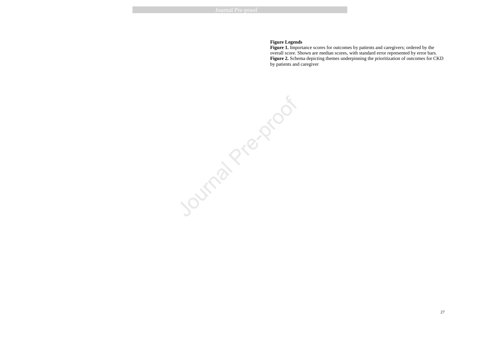#### **Figure Legends**

 **Figure 1.** Importance scores for outcomes by patients and caregivers; ordered by the overall score. Shown are median scores, with standard error represented by error bars. **Figure 2.** Schema depicting themes underpinning the prioritization of outcomes for CKD by patients and caregiver

Journal Prezenco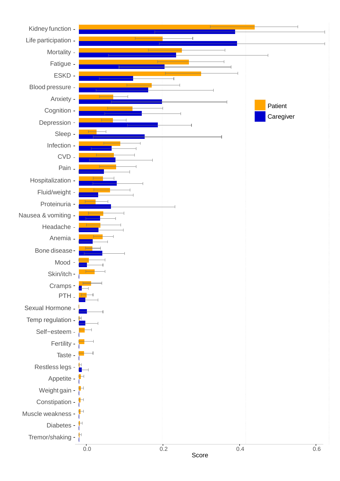